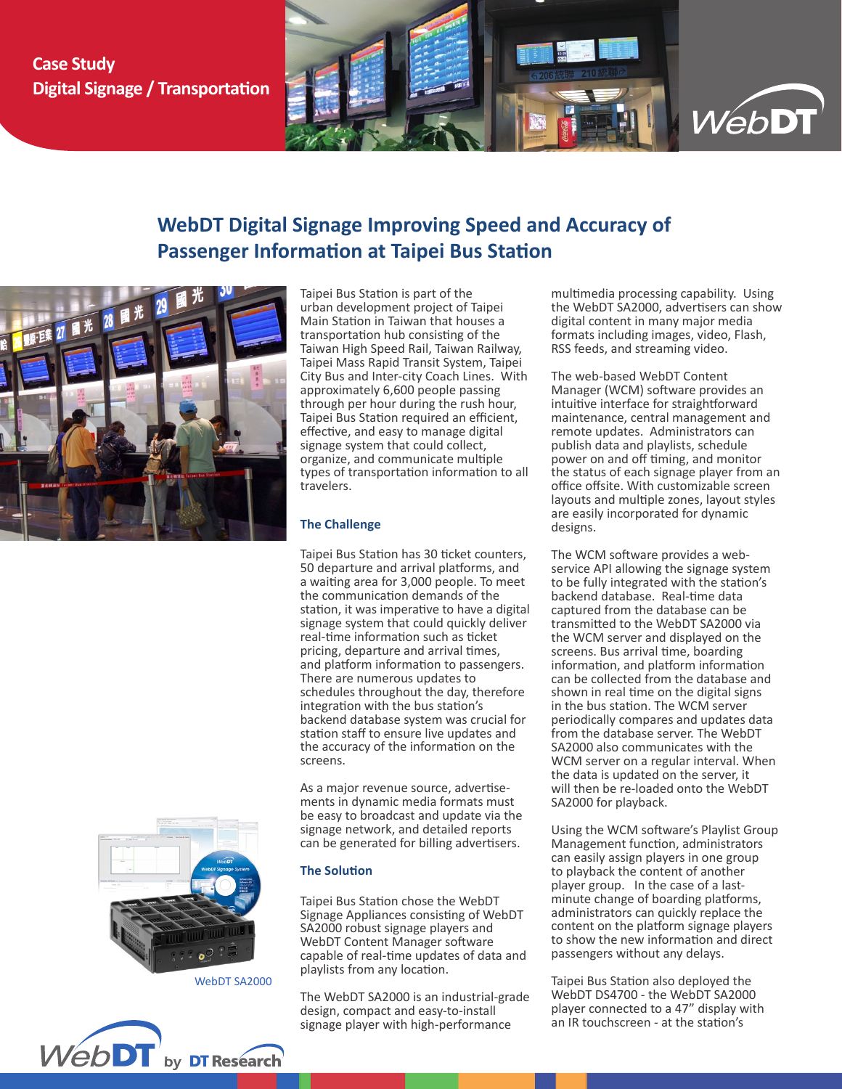## **Case Study Digital Signage / Transportation**



# **WebDT Digital Signage Improving Speed and Accuracy of Passenger Information at Taipei Bus Station**



Taipei Bus Station is part of the urban development project of Taipei Main Station in Taiwan that houses a transportation hub consisting of the Taiwan High Speed Rail, Taiwan Railway, Taipei Mass Rapid Transit System, Taipei City Bus and Inter-city Coach Lines. With approximately 6,600 people passing through per hour during the rush hour, Taipei Bus Station required an efficient, effective, and easy to manage digital signage system that could collect, organize, and communicate multiple types of transportation information to all travelers.

## **The Challenge**

Taipei Bus Station has 30 ticket counters, 50 departure and arrival platforms, and a waiting area for 3,000 people. To meet the communication demands of the station, it was imperative to have a digital signage system that could quickly deliver real-time information such as ticket pricing, departure and arrival times, and platform information to passengers. There are numerous updates to schedules throughout the day, therefore integration with the bus station's backend database system was crucial for station staff to ensure live updates and the accuracy of the information on the screens.

As a major revenue source, advertisements in dynamic media formats must be easy to broadcast and update via the signage network, and detailed reports can be generated for billing advertisers.

## **The Solution**

Taipei Bus Station chose the WebDT Signage Appliances consisting of WebDT SA2000 robust signage players and WebDT Content Manager software capable of real-time updates of data and playlists from any location.

The WebDT SA2000 is an industrial-grade design, compact and easy-to-install signage player with high-performance

multimedia processing capability. Using the WebDT SA2000, advertisers can show digital content in many major media formats including images, video, Flash, RSS feeds, and streaming video.

The web-based WebDT Content Manager (WCM) software provides an intuitive interface for straightforward maintenance, central management and remote updates. Administrators can publish data and playlists, schedule power on and off timing, and monitor the status of each signage player from an office offsite. With customizable screen layouts and multiple zones, layout styles are easily incorporated for dynamic designs.

The WCM software provides a webservice API allowing the signage system to be fully integrated with the station's backend database. Real-time data captured from the database can be transmitted to the WebDT SA2000 via the WCM server and displayed on the screens. Bus arrival time, boarding information, and platform information can be collected from the database and shown in real time on the digital signs in the bus station. The WCM server periodically compares and updates data from the database server. The WebDT SA2000 also communicates with the WCM server on a regular interval. When the data is updated on the server, it will then be re-loaded onto the WebDT SA2000 for playback.

Using the WCM software's Playlist Group Management function, administrators can easily assign players in one group to playback the content of another player group. In the case of a lastminute change of boarding platforms, administrators can quickly replace the content on the platform signage players to show the new information and direct passengers without any delays.

Taipei Bus Station also deployed the WebDT DS4700 - the WebDT SA2000 player connected to a 47" display with an IR touchscreen - at the station's



WebDT SA2000